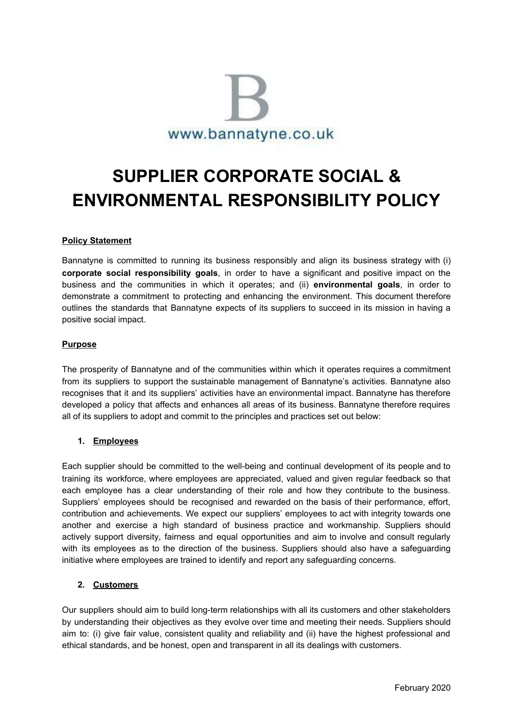

# **SUPPLIER CORPORATE SOCIAL & ENVIRONMENTAL RESPONSIBILITY POLICY**

# **Policy Statement**

Bannatyne is committed to running its business responsibly and align its business strategy with (i) **corporate social responsibility goals**, in order to have a significant and positive impact on the business and the communities in which it operates; and (ii) **environmental goals**, in order to demonstrate a commitment to protecting and enhancing the environment. This document therefore outlines the standards that Bannatyne expects of its suppliers to succeed in its mission in having a positive social impact.

#### **Purpose**

The prosperity of Bannatyne and of the communities within which it operates requires a commitment from its suppliers to support the sustainable management of Bannatyne's activities. Bannatyne also recognises that it and its suppliers' activities have an environmental impact. Bannatyne has therefore developed a policy that affects and enhances all areas of its business. Bannatyne therefore requires all of its suppliers to adopt and commit to the principles and practices set out below:

#### **1. Employees**

Each supplier should be committed to the well-being and continual development of its people and to training its workforce, where employees are appreciated, valued and given regular feedback so that each employee has a clear understanding of their role and how they contribute to the business. Suppliers' employees should be recognised and rewarded on the basis of their performance, effort, contribution and achievements. We expect our suppliers' employees to act with integrity towards one another and exercise a high standard of business practice and workmanship. Suppliers should actively support diversity, fairness and equal opportunities and aim to involve and consult regularly with its employees as to the direction of the business. Suppliers should also have a safeguarding initiative where employees are trained to identify and report any safeguarding concerns.

#### **2. Customers**

Our suppliers should aim to build long-term relationships with all its customers and other stakeholders by understanding their objectives as they evolve over time and meeting their needs. Suppliers should aim to: (i) give fair value, consistent quality and reliability and (ii) have the highest professional and ethical standards, and be honest, open and transparent in all its dealings with customers.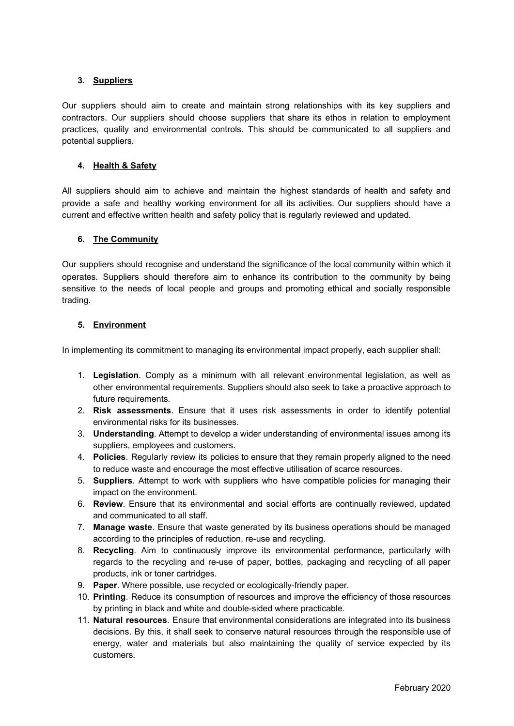# **3. Suppliers**

Our suppliers should aim to create and maintain strong relationships with its key suppliers and contractors. Our suppliers should choose suppliers that share its ethos in relation to employment practices, quality and environmental controls. This should be communicated to all suppliers and potential suppliers.

#### **4. Health & Safety**

All suppliers should aim to achieve and maintain the highest standards of health and safety and provide a safe and healthy working environment for all its activities. Our suppliers should have a current and effective written health and safety policy that is regularly reviewed and updated.

# **6. The Community**

Our suppliers should recognise and understand the significance of the local community within which it operates. Suppliers should therefore aim to enhance its contribution to the community by being sensitive to the needs of local people and groups and promoting ethical and socially responsible trading.

# **5. Environment**

In implementing its commitment to managing its environmental impact properly, each supplier shall:

- 1. **Legislation**. Comply as a minimum with all relevant environmental legislation, as well as other environmental requirements. Suppliers should also seek to take a proactive approach to future requirements.
- 2. **Risk assessments**. Ensure that it uses risk assessments in order to identify potential environmental risks for its businesses.
- 3. **Understanding**. Attempt to develop a wider understanding of environmental issues among its suppliers, employees and customers.
- 4. **Policies**. Regularly review its policies to ensure that they remain properly aligned to the need to reduce waste and encourage the most effective utilisation of scarce resources.
- 5. **Suppliers**. Attempt to work with suppliers who have compatible policies for managing their impact on the environment.
- 6. **Review**. Ensure that its environmental and social efforts are continually reviewed, updated and communicated to all staff.
- 7. **Manage waste**. Ensure that waste generated by its business operations should be managed according to the principles of reduction, re-use and recycling.
- 8. **Recycling**. Aim to continuously improve its environmental performance, particularly with regards to the recycling and re-use of paper, bottles, packaging and recycling of all paper products, ink or toner cartridges.
- 9. **Paper**. Where possible, use recycled or ecologically-friendly paper.
- 10. **Printing**. Reduce its consumption of resources and improve the efficiency of those resources by printing in black and white and double-sided where practicable.
- 11. **Natural resources**. Ensure that environmental considerations are integrated into its business decisions. By this, it shall seek to conserve natural resources through the responsible use of energy, water and materials but also maintaining the quality of service expected by its customers.